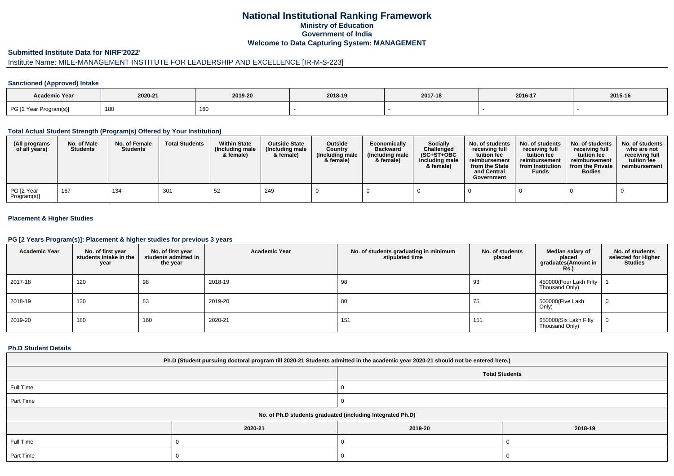# **National Institutional Ranking FrameworkMinistry of Education Government of IndiaWelcome to Data Capturing System: MANAGEMENT**

## **Submitted Institute Data for NIRF'2022'**

# Institute Name: MILE-MANAGEMENT INSTITUTE FOR LEADERSHIP AND EXCELLENCE [IR-M-S-223]

## **Sanctioned (Approved) Intake**

| <b>Academic Year</b>   | 2020-21 | 2019-20 | 2018-19 | 2017-18 | 2016-17 | 2015-16 |
|------------------------|---------|---------|---------|---------|---------|---------|
| PG [2 Year Program(s)] | 180     | 180     |         |         |         |         |

### **Total Actual Student Strength (Program(s) Offered by Your Institution)**

| (All programs<br>of all years) | No. of Male<br><b>Students</b> | No. of Female<br><b>Students</b> | <b>Total Students</b> | <b>Within State</b><br>(Including male)<br>& female) | <b>Outside State</b><br>(Including male<br>& female) | Outside<br>Country<br>(Including male<br>& female) | Economically<br><b>Backward</b><br>(Including male<br>& female) | Socially<br>Challenged<br>$(SC+ST+OBC$<br>Including male<br>& female) | No. of students<br>receiving full<br>tuition fee<br>reimbursement<br>from the State<br>and Central<br>Government | No. of students<br>receiving full<br>tuition fee<br>reimbursement<br>from Institution<br><b>Funds</b> | No. of students<br>receiving full<br>tuition fee<br>reimbursement<br>from the Private<br><b>Bodies</b> | No. of students<br>who are not<br>receiving full<br>tuition fee<br>reimbursement |
|--------------------------------|--------------------------------|----------------------------------|-----------------------|------------------------------------------------------|------------------------------------------------------|----------------------------------------------------|-----------------------------------------------------------------|-----------------------------------------------------------------------|------------------------------------------------------------------------------------------------------------------|-------------------------------------------------------------------------------------------------------|--------------------------------------------------------------------------------------------------------|----------------------------------------------------------------------------------|
| PG [2 Year<br>Program(s)]      | 167                            | 134                              | 301                   | 52                                                   | 249                                                  |                                                    |                                                                 |                                                                       |                                                                                                                  |                                                                                                       |                                                                                                        |                                                                                  |

## **Placement & Higher Studies**

### **PG [2 Years Program(s)]: Placement & higher studies for previous 3 years**

| <b>Academic Year</b> | No. of first year<br>students intake in the<br>year | No. of first vear<br>students admitted in<br>the year | <b>Academic Year</b> | No. of students graduating in minimum<br>stipulated time | No. of students<br>placed | Median salary of<br>placed<br>graduates(Amount in<br>Rs.) | No. of students<br>selected for Higher<br><b>Studies</b> |
|----------------------|-----------------------------------------------------|-------------------------------------------------------|----------------------|----------------------------------------------------------|---------------------------|-----------------------------------------------------------|----------------------------------------------------------|
| 2017-18              | 120                                                 | 98                                                    | 2018-19              | 98                                                       | 93                        | 450000(Four Lakh Fifty<br>Thousand Only)                  |                                                          |
| 2018-19              | 120                                                 | 83                                                    | 2019-20              | 80                                                       | 75                        | 500000(Five Lakh<br>Only)                                 | 0                                                        |
| 2019-20              | 180                                                 | 160                                                   | 2020-21              | 151                                                      | 151                       | 650000(Six Lakh Fifty<br>Thousand Only)                   | 0                                                        |

## **Ph.D Student Details**

| Ph.D (Student pursuing doctoral program till 2020-21 Students admitted in the academic year 2020-21 should not be entered here.) |         |                       |         |  |  |  |  |
|----------------------------------------------------------------------------------------------------------------------------------|---------|-----------------------|---------|--|--|--|--|
|                                                                                                                                  |         | <b>Total Students</b> |         |  |  |  |  |
| Full Time                                                                                                                        |         |                       |         |  |  |  |  |
| Part Time                                                                                                                        |         |                       |         |  |  |  |  |
| No. of Ph.D students graduated (including Integrated Ph.D)                                                                       |         |                       |         |  |  |  |  |
|                                                                                                                                  | 2020-21 | 2019-20               | 2018-19 |  |  |  |  |
| Full Time                                                                                                                        |         |                       |         |  |  |  |  |
| Part Time                                                                                                                        |         |                       |         |  |  |  |  |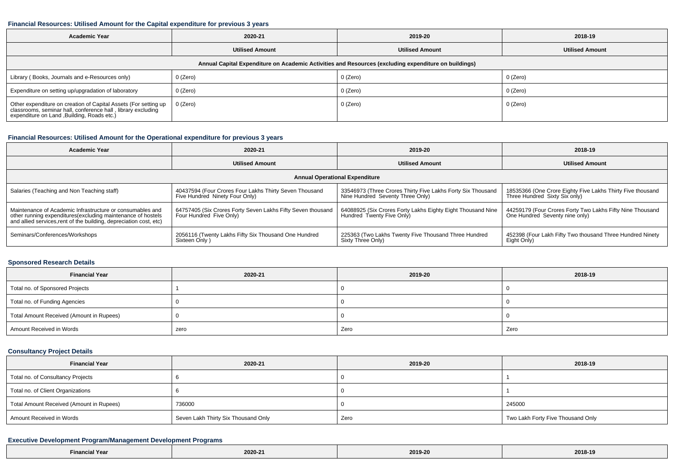#### **Financial Resources: Utilised Amount for the Capital expenditure for previous 3 years**

| <b>Academic Year</b><br>2020-21                                                                                                                                         |                        | 2019-20  | 2018-19                |  |  |  |  |  |
|-------------------------------------------------------------------------------------------------------------------------------------------------------------------------|------------------------|----------|------------------------|--|--|--|--|--|
|                                                                                                                                                                         | <b>Utilised Amount</b> |          | <b>Utilised Amount</b> |  |  |  |  |  |
| Annual Capital Expenditure on Academic Activities and Resources (excluding expenditure on buildings)                                                                    |                        |          |                        |  |  |  |  |  |
| Library (Books, Journals and e-Resources only)                                                                                                                          | 0 (Zero)               | 0 (Zero) | 0 (Zero)               |  |  |  |  |  |
| Expenditure on setting up/upgradation of laboratory                                                                                                                     | $0$ (Zero)             | 0 (Zero) | 0 (Zero)               |  |  |  |  |  |
| Other expenditure on creation of Capital Assets (For setting up classrooms, seminar hall, conference hall, library excluding expenditure on Land ,Building, Roads etc.) | 0 (Zero)               | 0 (Zero) | 0 (Zero)               |  |  |  |  |  |

## **Financial Resources: Utilised Amount for the Operational expenditure for previous 3 years**

| <b>Academic Year</b>                                                                                                                                                                           | 2020-21                                                                                  | 2019-20                                                                                         | 2018-19                                                                                     |  |  |  |  |  |
|------------------------------------------------------------------------------------------------------------------------------------------------------------------------------------------------|------------------------------------------------------------------------------------------|-------------------------------------------------------------------------------------------------|---------------------------------------------------------------------------------------------|--|--|--|--|--|
|                                                                                                                                                                                                | <b>Utilised Amount</b>                                                                   |                                                                                                 | <b>Utilised Amount</b>                                                                      |  |  |  |  |  |
| <b>Annual Operational Expenditure</b>                                                                                                                                                          |                                                                                          |                                                                                                 |                                                                                             |  |  |  |  |  |
| Salaries (Teaching and Non Teaching staff)                                                                                                                                                     | 40437594 (Four Crores Four Lakhs Thirty Seven Thousand<br>Five Hundred Ninety Four Only) | 33546973 (Three Crores Thirty Five Lakhs Forty Six Thousand<br>Nine Hundred Seventy Three Only) | 18535366 (One Crore Eighty Five Lakhs Thirty Five thousand<br>Three Hundred Sixty Six only) |  |  |  |  |  |
| Maintenance of Academic Infrastructure or consumables and<br>other running expenditures(excluding maintenance of hostels<br>and allied services, rent of the building, depreciation cost, etc) | 64757405 (Six Crores Forty Seven Lakhs Fifty Seven thousand<br>Four Hundred Five Only)   | 64088925 (Six Crores Forty Lakhs Eighty Eight Thousand Nine<br>Hundred Twenty Five Only)        | 44259179 (Four Crores Forty Two Lakhs Fifty Nine Thousand<br>One Hundred Seventy nine only) |  |  |  |  |  |
| Seminars/Conferences/Workshops                                                                                                                                                                 | 2056116 (Twenty Lakhs Fifty Six Thousand One Hundred<br>Sixteen Only)                    | 225363 (Two Lakhs Twenty Five Thousand Three Hundred<br>Sixty Three Only)                       | 452398 (Four Lakh Fifty Two thousand Three Hundred Ninety<br>Eight Only)                    |  |  |  |  |  |

### **Sponsored Research Details**

| <b>Financial Year</b>                    | 2020-21 | 2019-20 | 2018-19 |
|------------------------------------------|---------|---------|---------|
| Total no. of Sponsored Projects          |         |         |         |
| Total no. of Funding Agencies            |         |         |         |
| Total Amount Received (Amount in Rupees) |         |         |         |
| Amount Received in Words                 | zero    | Zero    | Zero    |

# **Consultancy Project Details**

| <b>Financial Year</b>                    | 2020-21                             | 2019-20 | 2018-19                           |  |
|------------------------------------------|-------------------------------------|---------|-----------------------------------|--|
| Total no. of Consultancy Projects        |                                     |         |                                   |  |
| Total no. of Client Organizations        |                                     |         |                                   |  |
| Total Amount Received (Amount in Rupees) | 736000                              |         | 245000                            |  |
| Amount Received in Words                 | Seven Lakh Thirty Six Thousand Only | Zero    | Two Lakh Forty Five Thousand Only |  |

## **Executive Development Program/Management Development Programs**

| i ed | $\frac{1}{2}$<br>$2020 -$<br>$- - - - -$ | กา ฉ_ว.<br>$2013-Z0$ | and a state of the state of<br>-40<br>2018-19 |
|------|------------------------------------------|----------------------|-----------------------------------------------|
|------|------------------------------------------|----------------------|-----------------------------------------------|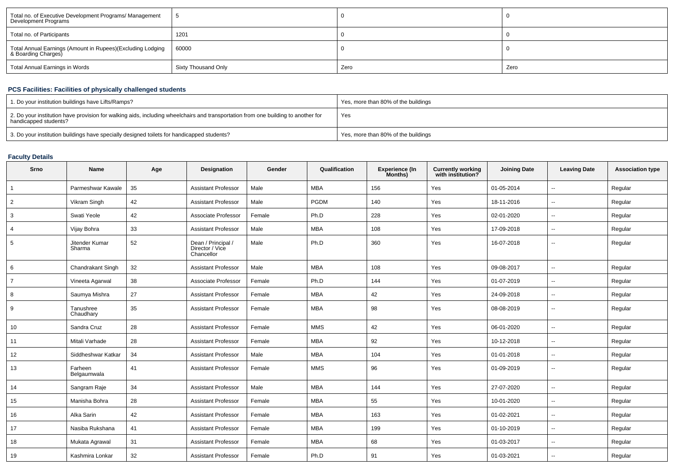| Total no. of Executive Development Programs/ Management<br>Development Programs   |                     |      |      |
|-----------------------------------------------------------------------------------|---------------------|------|------|
| Total no. of Participants                                                         | 1201                |      |      |
| Total Annual Earnings (Amount in Rupees)(Excluding Lodging<br>& Boarding Charges) | 60000               |      |      |
| Total Annual Earnings in Words                                                    | Sixty Thousand Only | Zero | Zero |

# **PCS Facilities: Facilities of physically challenged students**

| 1. Do your institution buildings have Lifts/Ramps?                                                                                                         | Yes, more than 80% of the buildings |
|------------------------------------------------------------------------------------------------------------------------------------------------------------|-------------------------------------|
| 2. Do your institution have provision for walking aids, including wheelchairs and transportation from one building to another for<br>handicapped students? | Yes                                 |
| 3. Do your institution buildings have specially designed toilets for handicapped students?                                                                 | Yes, more than 80% of the buildings |

# **Faculty Details**

| Srno           | <b>Name</b>              | Age | Designation                                         | Gender | Qualification | <b>Experience (In</b><br>Months) | <b>Currently working</b><br>with institution? | <b>Joining Date</b> | <b>Leaving Date</b> | <b>Association type</b> |
|----------------|--------------------------|-----|-----------------------------------------------------|--------|---------------|----------------------------------|-----------------------------------------------|---------------------|---------------------|-------------------------|
|                | Parmeshwar Kawale        | 35  | <b>Assistant Professor</b>                          | Male   | <b>MBA</b>    | 156                              | Yes                                           | 01-05-2014          | $\mathbf{u}$        | Regular                 |
| $\overline{2}$ | Vikram Singh             | 42  | <b>Assistant Professor</b>                          | Male   | PGDM          | 140                              | Yes                                           | 18-11-2016          | $\sim$              | Regular                 |
| 3              | Swati Yeole              | 42  | Associate Professor                                 | Female | Ph.D          | 228                              | Yes                                           | 02-01-2020          | $\sim$              | Regular                 |
| 4              | Vijay Bohra              | 33  | <b>Assistant Professor</b>                          | Male   | <b>MBA</b>    | 108                              | Yes                                           | 17-09-2018          | $\sim$              | Regular                 |
| 5              | Jitender Kumar<br>Sharma | 52  | Dean / Principal /<br>Director / Vice<br>Chancellor | Male   | Ph.D          | 360                              | Yes                                           | 16-07-2018          | $\sim$              | Regular                 |
| 6              | Chandrakant Singh        | 32  | <b>Assistant Professor</b>                          | Male   | <b>MBA</b>    | 108                              | Yes                                           | 09-08-2017          | $\sim$              | Regular                 |
| $\overline{7}$ | Vineeta Agarwal          | 38  | Associate Professor                                 | Female | Ph.D          | 144                              | Yes                                           | 01-07-2019          | $\sim$              | Regular                 |
| 8              | Saumya Mishra            | 27  | <b>Assistant Professor</b>                          | Female | <b>MBA</b>    | 42                               | Yes                                           | 24-09-2018          | $\sim$              | Regular                 |
| 9              | Tanushree<br>Chaudhary   | 35  | <b>Assistant Professor</b>                          | Female | <b>MBA</b>    | 98                               | Yes                                           | 08-08-2019          | $\sim$              | Regular                 |
| 10             | Sandra Cruz              | 28  | <b>Assistant Professor</b>                          | Female | <b>MMS</b>    | 42                               | Yes                                           | 06-01-2020          | $\sim$              | Regular                 |
| 11             | Mitali Varhade           | 28  | <b>Assistant Professor</b>                          | Female | <b>MBA</b>    | 92                               | Yes                                           | 10-12-2018          | $\sim$              | Regular                 |
| 12             | Siddheshwar Katkar       | 34  | <b>Assistant Professor</b>                          | Male   | <b>MBA</b>    | 104                              | Yes                                           | 01-01-2018          | $\sim$              | Regular                 |
| 13             | Farheen<br>Belgaumwala   | 41  | <b>Assistant Professor</b>                          | Female | <b>MMS</b>    | 96                               | Yes                                           | 01-09-2019          | $\sim$              | Regular                 |
| 14             | Sangram Raje             | 34  | <b>Assistant Professor</b>                          | Male   | <b>MBA</b>    | 144                              | Yes                                           | 27-07-2020          | $\sim$              | Regular                 |
| 15             | Manisha Bohra            | 28  | <b>Assistant Professor</b>                          | Female | <b>MBA</b>    | 55                               | Yes                                           | 10-01-2020          | $\sim$              | Regular                 |
| 16             | Alka Sarin               | 42  | <b>Assistant Professor</b>                          | Female | <b>MBA</b>    | 163                              | Yes                                           | 01-02-2021          | $\sim$              | Regular                 |
| 17             | Nasiba Rukshana          | 41  | <b>Assistant Professor</b>                          | Female | <b>MBA</b>    | 199                              | Yes                                           | 01-10-2019          | $\sim$              | Regular                 |
| 18             | Mukata Agrawal           | 31  | <b>Assistant Professor</b>                          | Female | <b>MBA</b>    | 68                               | Yes                                           | 01-03-2017          | $\sim$              | Regular                 |
| 19             | Kashmira Lonkar          | 32  | <b>Assistant Professor</b>                          | Female | Ph.D          | 91                               | Yes                                           | 01-03-2021          |                     | Regular                 |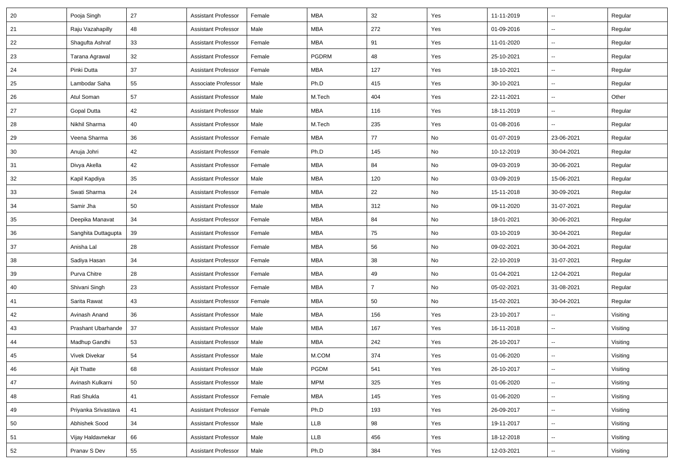| 20     | Pooja Singh          | 27 | <b>Assistant Professor</b> | Female | <b>MBA</b>   | 32             | Yes | 11-11-2019 | $\overline{\phantom{a}}$ | Regular  |
|--------|----------------------|----|----------------------------|--------|--------------|----------------|-----|------------|--------------------------|----------|
| 21     | Raju Vazahapilly     | 48 | <b>Assistant Professor</b> | Male   | <b>MBA</b>   | 272            | Yes | 01-09-2016 | $\overline{\phantom{a}}$ | Regular  |
| 22     | Shagufta Ashraf      | 33 | <b>Assistant Professor</b> | Female | <b>MBA</b>   | 91             | Yes | 11-01-2020 | $\overline{\phantom{a}}$ | Regular  |
| 23     | Tarana Agrawal       | 32 | Assistant Professor        | Female | <b>PGDRM</b> | 48             | Yes | 25-10-2021 | --                       | Regular  |
| 24     | Pinki Dutta          | 37 | <b>Assistant Professor</b> | Female | <b>MBA</b>   | 127            | Yes | 18-10-2021 | Щ,                       | Regular  |
| 25     | Lambodar Saha        | 55 | Associate Professor        | Male   | Ph.D         | 415            | Yes | 30-10-2021 | Щ,                       | Regular  |
| 26     | Atul Soman           | 57 | <b>Assistant Professor</b> | Male   | M.Tech       | 404            | Yes | 22-11-2021 | Ξ.                       | Other    |
| 27     | Gopal Dutta          | 42 | <b>Assistant Professor</b> | Male   | <b>MBA</b>   | 116            | Yes | 18-11-2019 | $\overline{\phantom{a}}$ | Regular  |
| 28     | Nikhil Sharma        | 40 | <b>Assistant Professor</b> | Male   | M.Tech       | 235            | Yes | 01-08-2016 | Щ,                       | Regular  |
| 29     | Veena Sharma         | 36 | <b>Assistant Professor</b> | Female | MBA          | 77             | No  | 01-07-2019 | 23-06-2021               | Regular  |
| 30     | Anuja Johri          | 42 | <b>Assistant Professor</b> | Female | Ph.D         | 145            | No  | 10-12-2019 | 30-04-2021               | Regular  |
| 31     | Divya Akella         | 42 | <b>Assistant Professor</b> | Female | <b>MBA</b>   | 84             | No  | 09-03-2019 | 30-06-2021               | Regular  |
| 32     | Kapil Kapdiya        | 35 | <b>Assistant Professor</b> | Male   | <b>MBA</b>   | 120            | No  | 03-09-2019 | 15-06-2021               | Regular  |
| 33     | Swati Sharma         | 24 | <b>Assistant Professor</b> | Female | <b>MBA</b>   | 22             | No  | 15-11-2018 | 30-09-2021               | Regular  |
| 34     | Samir Jha            | 50 | <b>Assistant Professor</b> | Male   | <b>MBA</b>   | 312            | No  | 09-11-2020 | 31-07-2021               | Regular  |
| 35     | Deepika Manavat      | 34 | <b>Assistant Professor</b> | Female | MBA          | 84             | No  | 18-01-2021 | 30-06-2021               | Regular  |
| 36     | Sanghita Duttagupta  | 39 | <b>Assistant Professor</b> | Female | <b>MBA</b>   | 75             | No  | 03-10-2019 | 30-04-2021               | Regular  |
| 37     | Anisha Lal           | 28 | <b>Assistant Professor</b> | Female | <b>MBA</b>   | 56             | No  | 09-02-2021 | 30-04-2021               | Regular  |
| 38     | Sadiya Hasan         | 34 | <b>Assistant Professor</b> | Female | MBA          | 38             | No  | 22-10-2019 | 31-07-2021               | Regular  |
| 39     | Purva Chitre         | 28 | <b>Assistant Professor</b> | Female | <b>MBA</b>   | 49             | No  | 01-04-2021 | 12-04-2021               | Regular  |
| 40     | Shivani Singh        | 23 | Assistant Professor        | Female | MBA          | $\overline{7}$ | No  | 05-02-2021 | 31-08-2021               | Regular  |
| 41     | Sarita Rawat         | 43 | <b>Assistant Professor</b> | Female | MBA          | 50             | No  | 15-02-2021 | 30-04-2021               | Regular  |
| 42     | Avinash Anand        | 36 | <b>Assistant Professor</b> | Male   | <b>MBA</b>   | 156            | Yes | 23-10-2017 | $\overline{\phantom{a}}$ | Visiting |
| 43     | Prashant Ubarhande   | 37 | <b>Assistant Professor</b> | Male   | <b>MBA</b>   | 167            | Yes | 16-11-2018 | $\overline{\phantom{a}}$ | Visiting |
| 44     | Madhup Gandhi        | 53 | <b>Assistant Professor</b> | Male   | <b>MBA</b>   | 242            | Yes | 26-10-2017 | $\overline{\phantom{a}}$ | Visiting |
| 45     | <b>Vivek Divekar</b> | 54 | <b>Assistant Professor</b> | Male   | M.COM        | 374            | Yes | 01-06-2020 | $\overline{\phantom{a}}$ | Visiting |
| 46     | Ajit Thatte          | 68 | <b>Assistant Professor</b> | Male   | PGDM         | 541            | Yes | 26-10-2017 | $\overline{\phantom{a}}$ | Visiting |
| $47\,$ | Avinash Kulkarni     | 50 | <b>Assistant Professor</b> | Male   | <b>MPM</b>   | 325            | Yes | 01-06-2020 | Ξ.                       | Visiting |
| 48     | Rati Shukla          | 41 | <b>Assistant Professor</b> | Female | <b>MBA</b>   | 145            | Yes | 01-06-2020 | Щ,                       | Visiting |
| 49     | Priyanka Srivastava  | 41 | <b>Assistant Professor</b> | Female | Ph.D         | 193            | Yes | 26-09-2017 | $\overline{\phantom{a}}$ | Visiting |
| 50     | Abhishek Sood        | 34 | <b>Assistant Professor</b> | Male   | LLB          | 98             | Yes | 19-11-2017 | $\overline{\phantom{a}}$ | Visiting |
| 51     | Vijay Haldavnekar    | 66 | <b>Assistant Professor</b> | Male   | LLB          | 456            | Yes | 18-12-2018 | $\overline{\phantom{a}}$ | Visiting |
| 52     | Pranav S Dev         | 55 | <b>Assistant Professor</b> | Male   | Ph.D         | 384            | Yes | 12-03-2021 | н,                       | Visiting |